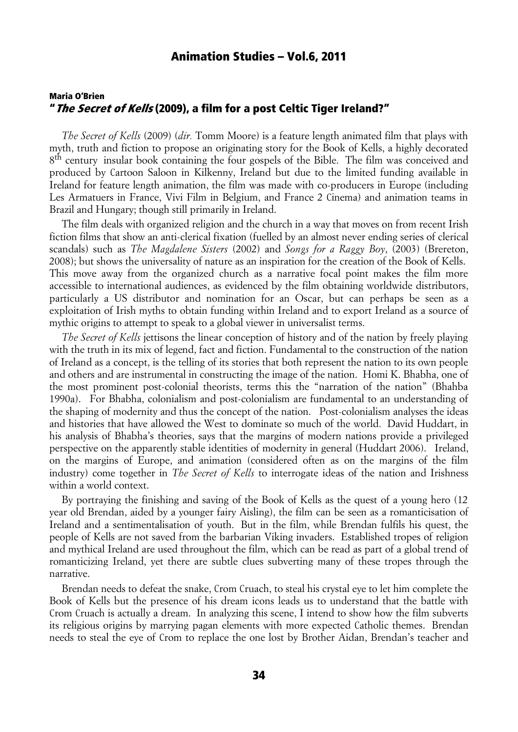### Maria O'Brien " *The Secret of Kells* (2009), a film for a post Celtic Tiger Ireland?"

*The Secret of Kells* (2009) (*dir.* Tomm Moore) is a feature length animated film that plays with myth, truth and fiction to propose an originating story for the Book of Kells, a highly decorated 8<sup>th</sup> century insular book containing the four gospels of the Bible. The film was conceived and produced by Cartoon Saloon in Kilkenny, Ireland but due to the limited funding available in Ireland for feature length animation, the film was made with co-producers in Europe (including Les Armatuers in France, Vivi Film in Belgium, and France 2 Cinema) and animation teams in Brazil and Hungary; though still primarily in Ireland.

The film deals with organized religion and the church in a way that moves on from recent Irish fiction films that show an anti-clerical fixation (fuelled by an almost never ending series of clerical scandals) such as *The Magdalene Sisters* (2002) and *Songs for a Raggy Boy*, (2003) (Brereton, 2008); but shows the universality of nature as an inspiration for the creation of the Book of Kells. This move away from the organized church as a narrative focal point makes the film more accessible to international audiences, as evidenced by the film obtaining worldwide distributors, particularly a US distributor and nomination for an Oscar, but can perhaps be seen as a exploitation of Irish myths to obtain funding within Ireland and to export Ireland as a source of mythic origins to attempt to speak to a global viewer in universalist terms.

*The Secret of Kells* jettisons the linear conception of history and of the nation by freely playing with the truth in its mix of legend, fact and fiction. Fundamental to the construction of the nation of Ireland as a concept, is the telling of its stories that both represent the nation to its own people and others and are instrumental in constructing the image of the nation. Homi K. Bhabha, one of the most prominent post-colonial theorists, terms this the "narration of the nation" (Bhahba 1990a). For Bhabha, colonialism and post-colonialism are fundamental to an understanding of the shaping of modernity and thus the concept of the nation. Post-colonialism analyses the ideas and histories that have allowed the West to dominate so much of the world. David Huddart, in his analysis of Bhabha's theories, says that the margins of modern nations provide a privileged perspective on the apparently stable identities of modernity in general (Huddart 2006). Ireland, on the margins of Europe, and animation (considered often as on the margins of the film industry) come together in *The Secret of Kells* to interrogate ideas of the nation and Irishness within a world context.

By portraying the finishing and saving of the Book of Kells as the quest of a young hero (12 year old Brendan, aided by a younger fairy Aisling), the film can be seen as a romanticisation of Ireland and a sentimentalisation of youth. But in the film, while Brendan fulfils his quest, the people of Kells are not saved from the barbarian Viking invaders. Established tropes of religion and mythical Ireland are used throughout the film, which can be read as part of a global trend of romanticizing Ireland, yet there are subtle clues subverting many of these tropes through the narrative.

Brendan needs to defeat the snake, Crom Cruach, to steal his crystal eye to let him complete the Book of Kells but the presence of his dream icons leads us to understand that the battle with Crom Cruach is actually a dream. In analyzing this scene, I intend to show how the film subverts its religious origins by marrying pagan elements with more expected Catholic themes. Brendan needs to steal the eye of Crom to replace the one lost by Brother Aidan, Brendan's teacher and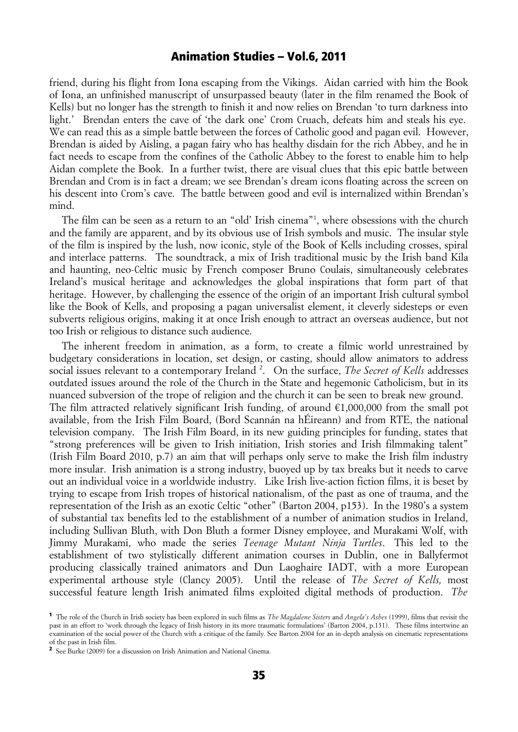friend, during his flight from Iona escaping from the Vikings. Aidan carried with him the Book of Iona, an unfinished manuscript of unsurpassed beauty (later in the film renamed the Book of Kells) but no longer has the strength to finish it and now relies on Brendan 'to turn darkness into light.' Brendan enters the cave of 'the dark one' Crom Cruach, defeats him and steals his eye. We can read this as a simple battle between the forces of Catholic good and pagan evil. However, Brendan is aided by Aisling, a pagan fairy who has healthy disdain for the rich Abbey, and he in fact needs to escape from the confines of the Catholic Abbey to the forest to enable him to help Aidan complete the Book. In a further twist, there are visual clues that this epic battle between Brendan and Crom is in fact a dream; we see Brendan's dream icons floating across the screen on his descent into Crom's cave. The battle between good and evil is internalized within Brendan's mind.

The film can be seen as a return to an "old' Irish cinema"<sup>1</sup>, where obsessions with the church and the family are apparent, and by its obvious use of Irish symbols and music. The insular style of the film is inspired by the lush, now iconic, style of the Book of Kells including crosses, spiral and interlace patterns. The soundtrack, a mix of Irish traditional music by the Irish band Kila and haunting, neo-Celtic music by French composer Bruno Coulais, simultaneously celebrates Ireland's musical heritage and acknowledges the global inspirations that form part of that heritage. However, by challenging the essence of the origin of an important Irish cultural symbol like the Book of Kells, and proposing a pagan universalist element, it cleverly sidesteps or even subverts religious origins, making it at once Irish enough to attract an overseas audience, but not too Irish or religious to distance such audience.

The inherent freedom in animation, as a form, to create a filmic world unrestrained by budgetary considerations in location, set design, or casting, should allow animators to address social issues relevant to a contemporary Ireland<sup>2</sup>. On the surface, *The Secret of Kells* addresses outdated issues around the role of the Church in the State and hegemonic Catholicism, but in its nuanced subversion of the trope of religion and the church it can be seen to break new ground. The film attracted relatively significant Irish funding, of around  $\epsilon$ 1,000,000 from the small pot available, from the Irish Film Board, (Bord Scannán na hÉireann) and from RTE, the national television company. The Irish Film Board, in its new guiding principles for funding, states that "strong preferences will be given to Irish initiation, Irish stories and Irish filmmaking talent" (Irish Film Board 2010, p.7) an aim that will perhaps only serve to make the Irish film industry more insular. Irish animation is a strong industry, buoyed up by tax breaks but it needs to carve out an individual voice in a worldwide industry. Like Irish live-action fiction films, it is beset by trying to escape from Irish tropes of historical nationalism, of the past as one of trauma, and the representation of the Irish as an exotic Celtic "other" (Barton 2004, p153). In the 1980's a system of substantial tax benefits led to the establishment of a number of animation studios in Ireland, including Sullivan Bluth, with Don Bluth a former Disney employee, and Murakami Wolf, with Jimmy Murakami, who made the series *Teenage Mutant Ninja Turtles*. This led to the establishment of two stylistically different animation courses in Dublin, one in Ballyfermot producing classically trained animators and Dun Laoghaire IADT, with a more European experimental arthouse style (Clancy 2005). Until the release of *The Secret of Kells,* most successful feature length Irish animated films exploited digital methods of production. *The* 

<sup>1</sup> The role of the Church in Irish society has been explored in such films as *The Magdalene Sisters* and *Angela's Ashes* (1999), films that revisit the past in an effort to 'work through the legacy of Irish history in its more traumatic formulations' (Barton 2004, p.131). These films intertwine an examination of the social power of the Church with a critique of the family. See Barton 2004 for an in-depth analysis on cinematic representations of the past in Irish film.

<sup>2</sup> See Burke (2009) for a discussion on Irish Animation and National Cinema.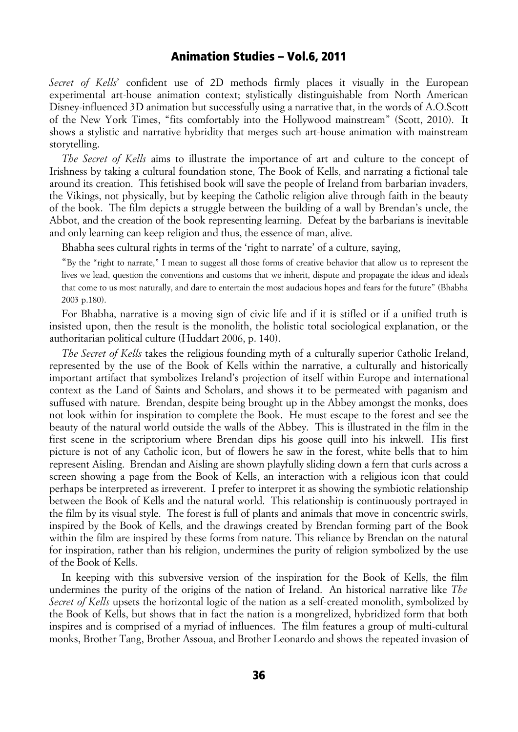*Secret of Kells*' confident use of 2D methods firmly places it visually in the European experimental art-house animation context; stylistically distinguishable from North American Disney-influenced 3D animation but successfully using a narrative that, in the words of A.O.Scott of the New York Times, "fits comfortably into the Hollywood mainstream" (Scott, 2010). It shows a stylistic and narrative hybridity that merges such art-house animation with mainstream storytelling.

*The Secret of Kells* aims to illustrate the importance of art and culture to the concept of Irishness by taking a cultural foundation stone, The Book of Kells, and narrating a fictional tale around its creation. This fetishised book will save the people of Ireland from barbarian invaders, the Vikings, not physically, but by keeping the Catholic religion alive through faith in the beauty of the book. The film depicts a struggle between the building of a wall by Brendan's uncle, the Abbot, and the creation of the book representing learning. Defeat by the barbarians is inevitable and only learning can keep religion and thus, the essence of man, alive.

Bhabha sees cultural rights in terms of the 'right to narrate' of a culture, saying,

"By the "right to narrate," I mean to suggest all those forms of creative behavior that allow us to represent the lives we lead, question the conventions and customs that we inherit, dispute and propagate the ideas and ideals that come to us most naturally, and dare to entertain the most audacious hopes and fears for the future" (Bhabha 2003 p.180).

For Bhabha, narrative is a moving sign of civic life and if it is stifled or if a unified truth is insisted upon, then the result is the monolith, the holistic total sociological explanation, or the authoritarian political culture (Huddart 2006, p. 140).

*The Secret of Kells* takes the religious founding myth of a culturally superior Catholic Ireland, represented by the use of the Book of Kells within the narrative, a culturally and historically important artifact that symbolizes Ireland's projection of itself within Europe and international context as the Land of Saints and Scholars, and shows it to be permeated with paganism and suffused with nature. Brendan, despite being brought up in the Abbey amongst the monks, does not look within for inspiration to complete the Book. He must escape to the forest and see the beauty of the natural world outside the walls of the Abbey. This is illustrated in the film in the first scene in the scriptorium where Brendan dips his goose quill into his inkwell. His first picture is not of any Catholic icon, but of flowers he saw in the forest, white bells that to him represent Aisling. Brendan and Aisling are shown playfully sliding down a fern that curls across a screen showing a page from the Book of Kells, an interaction with a religious icon that could perhaps be interpreted as irreverent. I prefer to interpret it as showing the symbiotic relationship between the Book of Kells and the natural world. This relationship is continuously portrayed in the film by its visual style. The forest is full of plants and animals that move in concentric swirls, inspired by the Book of Kells, and the drawings created by Brendan forming part of the Book within the film are inspired by these forms from nature. This reliance by Brendan on the natural for inspiration, rather than his religion, undermines the purity of religion symbolized by the use of the Book of Kells.

In keeping with this subversive version of the inspiration for the Book of Kells, the film undermines the purity of the origins of the nation of Ireland. An historical narrative like *The Secret of Kells* upsets the horizontal logic of the nation as a self-created monolith, symbolized by the Book of Kells, but shows that in fact the nation is a mongrelized, hybridized form that both inspires and is comprised of a myriad of influences. The film features a group of multi-cultural monks, Brother Tang, Brother Assoua, and Brother Leonardo and shows the repeated invasion of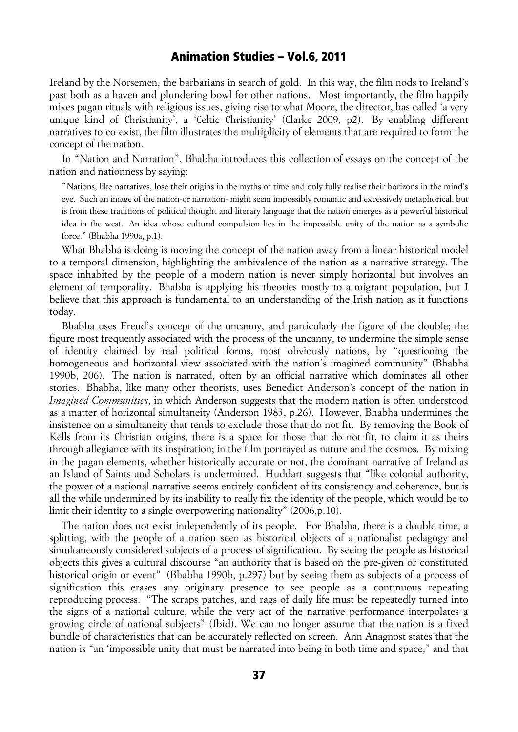Ireland by the Norsemen, the barbarians in search of gold. In this way, the film nods to Ireland's past both as a haven and plundering bowl for other nations. Most importantly, the film happily mixes pagan rituals with religious issues, giving rise to what Moore, the director, has called 'a very unique kind of Christianity', a 'Celtic Christianity' (Clarke 2009, p2). By enabling different narratives to co-exist, the film illustrates the multiplicity of elements that are required to form the concept of the nation.

In "Nation and Narration", Bhabha introduces this collection of essays on the concept of the nation and nationness by saying:

"Nations, like narratives, lose their origins in the myths of time and only fully realise their horizons in the mind's eye. Such an image of the nation-or narration- might seem impossibly romantic and excessively metaphorical, but is from these traditions of political thought and literary language that the nation emerges as a powerful historical idea in the west. An idea whose cultural compulsion lies in the impossible unity of the nation as a symbolic force." (Bhabha 1990a, p.1).

What Bhabha is doing is moving the concept of the nation away from a linear historical model to a temporal dimension, highlighting the ambivalence of the nation as a narrative strategy. The space inhabited by the people of a modern nation is never simply horizontal but involves an element of temporality. Bhabha is applying his theories mostly to a migrant population, but I believe that this approach is fundamental to an understanding of the Irish nation as it functions today.

Bhabha uses Freud's concept of the uncanny, and particularly the figure of the double; the figure most frequently associated with the process of the uncanny, to undermine the simple sense of identity claimed by real political forms, most obviously nations, by "questioning the homogeneous and horizontal view associated with the nation's imagined community" (Bhabha 1990b, 206). The nation is narrated, often by an official narrative which dominates all other stories. Bhabha, like many other theorists, uses Benedict Anderson's concept of the nation in *Imagined Communities*, in which Anderson suggests that the modern nation is often understood as a matter of horizontal simultaneity (Anderson 1983, p.26). However, Bhabha undermines the insistence on a simultaneity that tends to exclude those that do not fit. By removing the Book of Kells from its Christian origins, there is a space for those that do not fit, to claim it as theirs through allegiance with its inspiration; in the film portrayed as nature and the cosmos. By mixing in the pagan elements, whether historically accurate or not, the dominant narrative of Ireland as an Island of Saints and Scholars is undermined. Huddart suggests that "like colonial authority, the power of a national narrative seems entirely confident of its consistency and coherence, but is all the while undermined by its inability to really fix the identity of the people, which would be to limit their identity to a single overpowering nationality" (2006,p.10).

The nation does not exist independently of its people. For Bhabha, there is a double time, a splitting, with the people of a nation seen as historical objects of a nationalist pedagogy and simultaneously considered subjects of a process of signification. By seeing the people as historical objects this gives a cultural discourse "an authority that is based on the pre-given or constituted historical origin or event" (Bhabha 1990b, p.297) but by seeing them as subjects of a process of signification this erases any originary presence to see people as a continuous repeating reproducing process. "The scraps patches, and rags of daily life must be repeatedly turned into the signs of a national culture, while the very act of the narrative performance interpolates a growing circle of national subjects" (Ibid). We can no longer assume that the nation is a fixed bundle of characteristics that can be accurately reflected on screen. Ann Anagnost states that the nation is "an 'impossible unity that must be narrated into being in both time and space," and that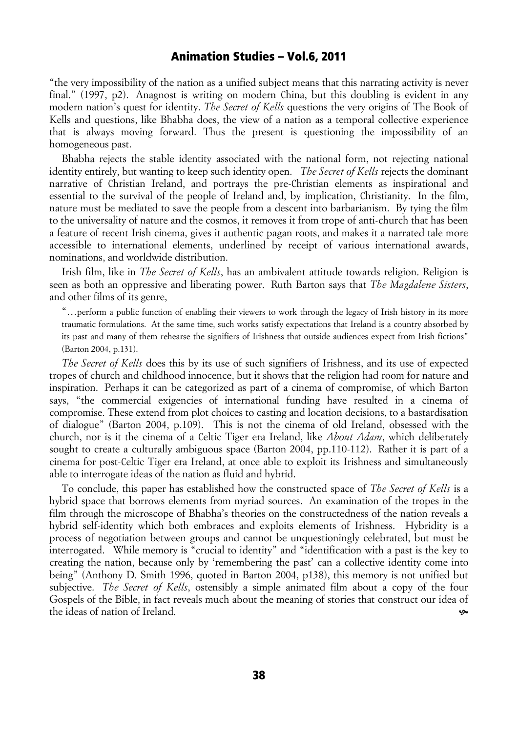"the very impossibility of the nation as a unified subject means that this narrating activity is never final." (1997, p2). Anagnost is writing on modern China, but this doubling is evident in any modern nation's quest for identity. *The Secret of Kells* questions the very origins of The Book of Kells and questions, like Bhabha does, the view of a nation as a temporal collective experience that is always moving forward. Thus the present is questioning the impossibility of an homogeneous past.

Bhabha rejects the stable identity associated with the national form, not rejecting national identity entirely, but wanting to keep such identity open. *The Secret of Kells* rejects the dominant narrative of Christian Ireland, and portrays the pre-Christian elements as inspirational and essential to the survival of the people of Ireland and, by implication, Christianity. In the film, nature must be mediated to save the people from a descent into barbarianism. By tying the film to the universality of nature and the cosmos, it removes it from trope of anti-church that has been a feature of recent Irish cinema, gives it authentic pagan roots, and makes it a narrated tale more accessible to international elements, underlined by receipt of various international awards, nominations, and worldwide distribution.

Irish film, like in *The Secret of Kells*, has an ambivalent attitude towards religion. Religion is seen as both an oppressive and liberating power. Ruth Barton says that *The Magdalene Sisters*, and other films of its genre,

"…perform a public function of enabling their viewers to work through the legacy of Irish history in its more traumatic formulations. At the same time, such works satisfy expectations that Ireland is a country absorbed by its past and many of them rehearse the signifiers of Irishness that outside audiences expect from Irish fictions" (Barton 2004, p.131).

*The Secret of Kells* does this by its use of such signifiers of Irishness, and its use of expected tropes of church and childhood innocence, but it shows that the religion had room for nature and inspiration. Perhaps it can be categorized as part of a cinema of compromise, of which Barton says, "the commercial exigencies of international funding have resulted in a cinema of compromise. These extend from plot choices to casting and location decisions, to a bastardisation of dialogue" (Barton 2004, p.109). This is not the cinema of old Ireland, obsessed with the church, nor is it the cinema of a Celtic Tiger era Ireland, like *About Adam*, which deliberately sought to create a culturally ambiguous space (Barton 2004, pp.110-112). Rather it is part of a cinema for post-Celtic Tiger era Ireland, at once able to exploit its Irishness and simultaneously able to interrogate ideas of the nation as fluid and hybrid.

To conclude, this paper has established how the constructed space of *The Secret of Kells* is a hybrid space that borrows elements from myriad sources. An examination of the tropes in the film through the microscope of Bhabha's theories on the constructedness of the nation reveals a hybrid self-identity which both embraces and exploits elements of Irishness. Hybridity is a process of negotiation between groups and cannot be unquestioningly celebrated, but must be interrogated. While memory is "crucial to identity" and "identification with a past is the key to creating the nation, because only by 'remembering the past' can a collective identity come into being" (Anthony D. Smith 1996, quoted in Barton 2004, p138), this memory is not unified but subjective. *The Secret of Kells*, ostensibly a simple animated film about a copy of the four Gospels of the Bible, in fact reveals much about the meaning of stories that construct our idea of the ideas of nation of Ireland. ^